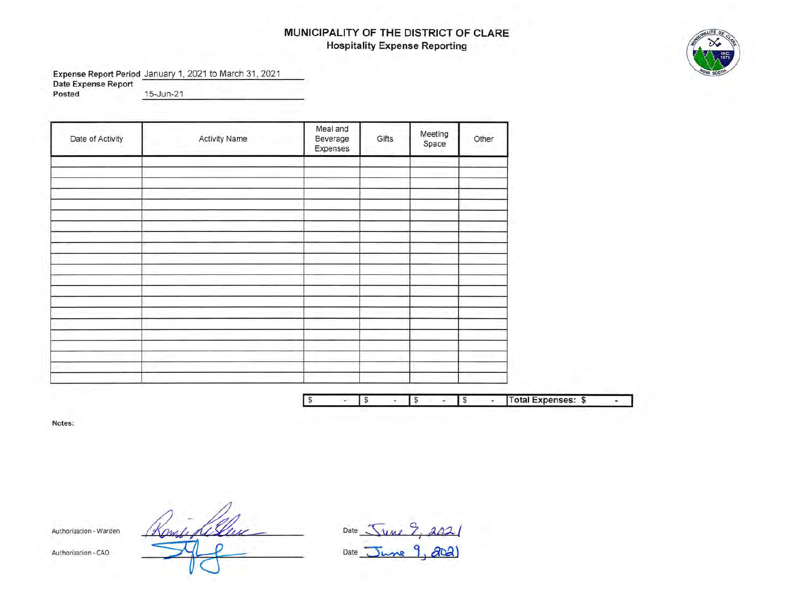# **MUNICIPALITY OF THE DISTRICT OF CLARE Hospitality Expense Reporting**

**Expense Report Period** January 1, 2021 to March 31 , 2021

**Date Expense Report Posted** ....:1~5....:-J:..:u:.:.n....: -2=-1'------------

| Activity Name | Meal and<br>Beverage<br>Expenses | Gifts | Meeting<br>Space | Other |
|---------------|----------------------------------|-------|------------------|-------|
|               |                                  |       |                  |       |
|               |                                  |       |                  |       |
|               |                                  |       |                  |       |
|               |                                  |       |                  |       |
|               |                                  |       |                  |       |
|               |                                  |       |                  |       |
|               |                                  |       |                  |       |
|               |                                  |       |                  |       |
|               |                                  |       |                  |       |
|               |                                  |       |                  |       |
|               |                                  |       |                  |       |
|               |                                  |       |                  |       |
|               |                                  |       |                  |       |
|               |                                  |       |                  |       |
|               |                                  |       |                  |       |
|               |                                  |       |                  |       |

|  |  |  | Total Expenses: \$ |  |
|--|--|--|--------------------|--|

**Notes:** 

Authorization · Warden

Date  $\sqrt{\frac{1}{M}}$  $Date$   $\overline{J}$ *wne* 9, 202

Authorization· CAO

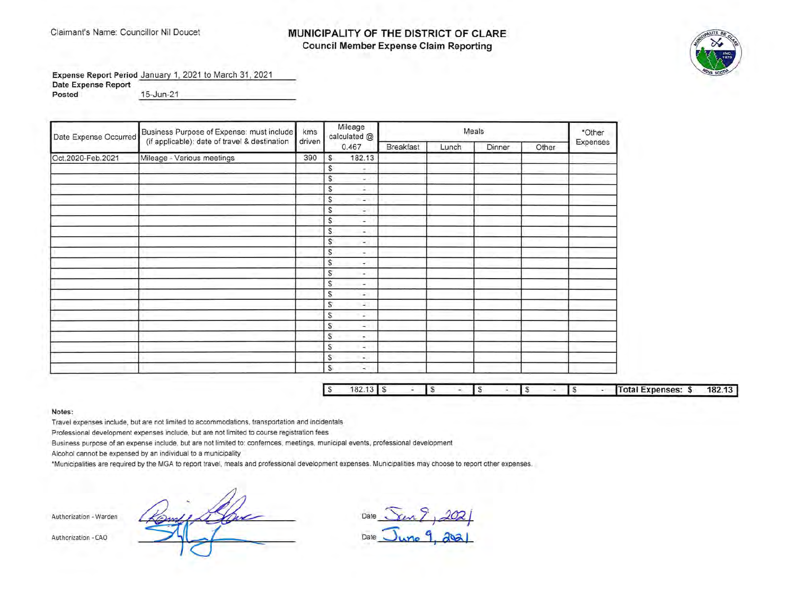#### Claimant's Name: Councillor Nil Doucet **MUNICIPALITY OF THE DISTRICT OF CLARE Council Member Expense Claim Reporting**



**Expense Report Period** January 1, 2021 to March 31 , 2021

**Date Expense Report** 

**Posted** 15-Jun-21

| Date Expense Occurred | Business Purpose of Expense: must include     | kms    |              | Mileage<br>calculated @  |                  |       | Meals  |       | *Other   |
|-----------------------|-----------------------------------------------|--------|--------------|--------------------------|------------------|-------|--------|-------|----------|
|                       | (if applicable): date of travel & destination | driven |              | 0.467                    | <b>Breakfast</b> | Lunch | Dinner | Other | Expenses |
| Oct.2020-Feb.2021     | Mileage - Various meetings                    | 390    | <b>S</b>     | 182.13                   |                  |       |        |       |          |
|                       |                                               |        | S            | $\overline{\phantom{a}}$ |                  |       |        |       |          |
|                       |                                               |        | S            | $\omega_{\rm c}$ .       |                  |       |        |       |          |
|                       |                                               |        | S            | А.                       |                  |       |        |       |          |
|                       |                                               |        | S            | $\sim$                   |                  |       |        |       |          |
|                       |                                               |        | s            | $\sim$                   |                  |       |        |       |          |
|                       |                                               |        | S            | $\overline{\phantom{a}}$ |                  |       |        |       |          |
|                       |                                               |        | $\mathbb{S}$ | ×.                       |                  |       |        |       |          |
|                       |                                               |        | S            | $\sim$                   |                  |       |        |       |          |
|                       |                                               |        | S            | $\sim$                   |                  |       |        |       |          |
|                       |                                               |        | S            | $\tau$                   |                  |       |        |       |          |
|                       |                                               |        | S            | $\sim$                   |                  |       |        |       |          |
|                       |                                               |        | S            | $\sim$                   |                  |       |        |       |          |
|                       |                                               |        | s            | $\overline{\phantom{a}}$ |                  |       |        |       |          |
|                       |                                               |        | S            | $\sim$                   |                  |       |        |       |          |
|                       |                                               |        | S.           | ÷                        |                  |       |        |       |          |
|                       |                                               |        | S            | $\sim$                   |                  |       |        |       |          |
|                       |                                               |        | s            | $\sim$                   |                  |       |        |       |          |
|                       |                                               |        | S            | $\sim$                   |                  |       |        |       |          |
|                       |                                               |        | s            | ٠.                       |                  |       |        |       |          |
|                       |                                               |        | S            | $\sim$                   |                  |       |        |       |          |

L

| 182 |  |  |  |  |  | Total Expenses: \$ | 182.13 |
|-----|--|--|--|--|--|--------------------|--------|

#### **Notes:**

Travel expenses include, but are not limited to accommodations, transportation and incidentals

Professional development expenses include, but are not limited to course registration fees

Business purpose of an expense include, but are not limited to: confernces, meetings, municipal events, professional development

Alcohol cannot be expensed by an individual to a municipality

·Municipalities are required by the MGA to report travel, meals and professional development expenses. Municipalities may choose to report other expenses.

Authorization - Warden <u>Rompique (Chine</u> 1, 2021)</u><br>Authorization - CAO **1, 2021**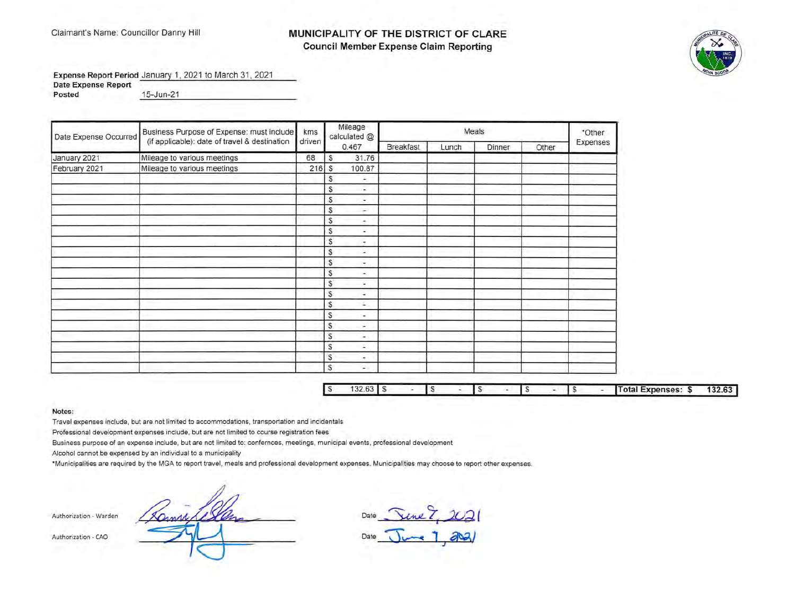### Claimant's Name: Councillor Danny Hill **MUNICIPALITY OF THE DISTRICT OF CLARE Council Member Expense Claim Reporting**



**Expense Report Period** January 1, 2021 to March 31 , 2021

**Date Expense Report** 

**Posted** 15-Jun-21 15-Jun-21

| Date Expense Occurred | Business Purpose of Expense: must include     | kms    |                | Mileage<br>calculated @ |                  |       | Meals  |       | *Other   |
|-----------------------|-----------------------------------------------|--------|----------------|-------------------------|------------------|-------|--------|-------|----------|
|                       | (if applicable): date of travel & destination | driven |                | 0.467                   | <b>Breakfast</b> | Lunch | Dinner | Other | Expenses |
| January 2021          | Mileage to various meetings                   | 68     | S              | 31.76                   |                  |       |        |       |          |
| February 2021         | Mileage to various meetings                   | 216    | s              | 100.87                  |                  |       |        |       |          |
|                       |                                               |        | \$             | ÷                       |                  |       |        |       |          |
|                       |                                               |        | S              | in.                     |                  |       |        |       |          |
|                       |                                               |        | S              | ÷                       |                  |       |        |       |          |
|                       |                                               |        | S              | $\sim$                  |                  |       |        |       |          |
|                       |                                               |        | S              | ÷                       |                  |       |        |       |          |
|                       |                                               |        | S              | ٠                       |                  |       |        |       |          |
|                       |                                               |        | S              | ÷                       |                  |       |        |       |          |
|                       |                                               |        | S              | ×                       |                  |       |        |       |          |
|                       |                                               |        | S              | ×                       |                  |       |        |       |          |
|                       |                                               |        | S              | ٠                       |                  |       |        |       |          |
|                       |                                               |        | S              | ÷.                      |                  |       |        |       |          |
|                       |                                               |        | S              | ٠                       |                  |       |        |       |          |
|                       |                                               |        | S              | a.                      |                  |       |        |       |          |
|                       |                                               |        | $\mathbb{S}$   | ۰                       |                  |       |        |       |          |
|                       |                                               |        | S              | ÷.                      |                  |       |        |       |          |
|                       |                                               |        | S              | ٠                       |                  |       |        |       |          |
|                       |                                               |        | S              | Ŀ.                      |                  |       |        |       |          |
|                       |                                               |        | \$             | ٠                       |                  |       |        |       |          |
|                       |                                               |        | $\mathfrak{s}$ | $\sim$                  |                  |       |        |       |          |

| l s | υZ |  |  |  |  |  | <b>Sexter Expenses: S</b> | 22C<br>132.63 |
|-----|----|--|--|--|--|--|---------------------------|---------------|

**Notes:** 

Travel expenses include, but are not limited to accommodations, transportation and incidentals

Professional development expenses include, but are not limited to course registration fees

Business purpose of an expense include, but are not limited to: confernces, meetings, municipal events, professional development

Alcohol cannot be expensed by an individual to a municipality

·Municipalities are required by the MGA to report travel , meals and professional development expenses. Municipalities may choose to report other expenses.

Authorization - Warden

Date <u>Jene  $\frac{8}{2021}$ </u> Date <del>June 1, 202</del>1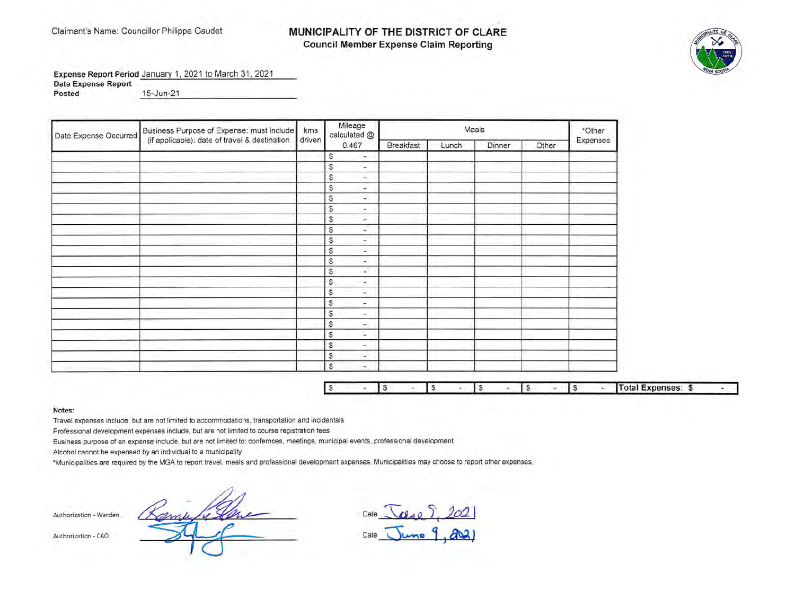## Claimant's Name: Councillor Philippe Gaudet **MUNICIPALITY OF THE DISTRICT OF CLARE Council Member Expense Claim Reporting**



**Expense Report Period** January 1, 2021 to March 31 , 2021

**Date Expense Report** 

**Posted** \_1c...:5---J.:..u.:..n.c..-.;:: 2 \_\_ 1\_\_\_\_\_\_\_\_\_\_\_ \_

| Date Expense Occurred | Business Purpose of Expense: must include     | kms    | Mileage<br>calculated @          |           |       | Meals  |       | *Other   |
|-----------------------|-----------------------------------------------|--------|----------------------------------|-----------|-------|--------|-------|----------|
|                       | (if applicable): date of travel & destination | driven | 0.467                            | Breakfast | Lunch | Dinner | Other | Expenses |
|                       |                                               |        | s<br>$\sim$                      |           |       |        |       |          |
|                       |                                               |        | S<br>÷                           |           |       |        |       |          |
|                       |                                               |        | S<br>a,                          |           |       |        |       |          |
|                       |                                               |        | S<br>$\bullet$                   |           |       |        |       |          |
|                       |                                               |        | S<br>$\sim$                      |           |       |        |       |          |
|                       |                                               |        | \$<br>$\overline{a}$             |           |       |        |       |          |
|                       |                                               |        | s<br>Ω                           |           |       |        |       |          |
|                       |                                               |        | $\frac{1}{2}$<br>S.              |           |       |        |       |          |
|                       |                                               |        | S.<br>÷                          |           |       |        |       |          |
|                       |                                               |        | S<br>$\sim$                      |           |       |        |       |          |
|                       |                                               |        | S<br>$\sim$                      |           |       |        |       |          |
|                       |                                               |        | S<br>£.                          |           |       |        |       |          |
|                       |                                               |        | \$<br>œ.                         |           |       |        |       |          |
|                       |                                               |        | $\mathbb{S}$<br>$\rightarrow$    |           |       |        |       |          |
|                       |                                               |        | S<br>÷                           |           |       |        |       |          |
|                       |                                               |        | \$<br>$\rightarrow$              |           |       |        |       |          |
|                       |                                               |        | S<br>×.                          |           |       |        |       |          |
|                       |                                               |        | S<br>$\mathcal{L}_{\mathcal{A}}$ |           |       |        |       |          |
|                       |                                               |        | \$<br>in.                        |           |       |        |       |          |
|                       |                                               |        | \$<br>w.                         |           |       |        |       |          |
|                       |                                               |        | S.<br>×.                         |           |       |        |       |          |

|  |  |  |  |  |  |  |  |  |  |  | <b>The Common</b><br>lotal Expenses:<br>×п.<br>_______________ |  |
|--|--|--|--|--|--|--|--|--|--|--|----------------------------------------------------------------|--|
|--|--|--|--|--|--|--|--|--|--|--|----------------------------------------------------------------|--|

**Notes:** 

Travel expenses include, but are not limited to accommodations, transportation and incidentals

Professional development expenses include, but are not limited to course registration fees

Business purpose of an expense include, but are not limited to: confernces, meetings, municipal events, professional development

Alcohol cannot be expensed by an individual to a municipality

\*Municipalities are required by the MGA to report travel, meals and professional development expenses. Municipalities may choose to report other expenses.

**Authorization - Warden** 

Date <u>[clase  $\left[202\right]$ </u> Date **June 9, 2021**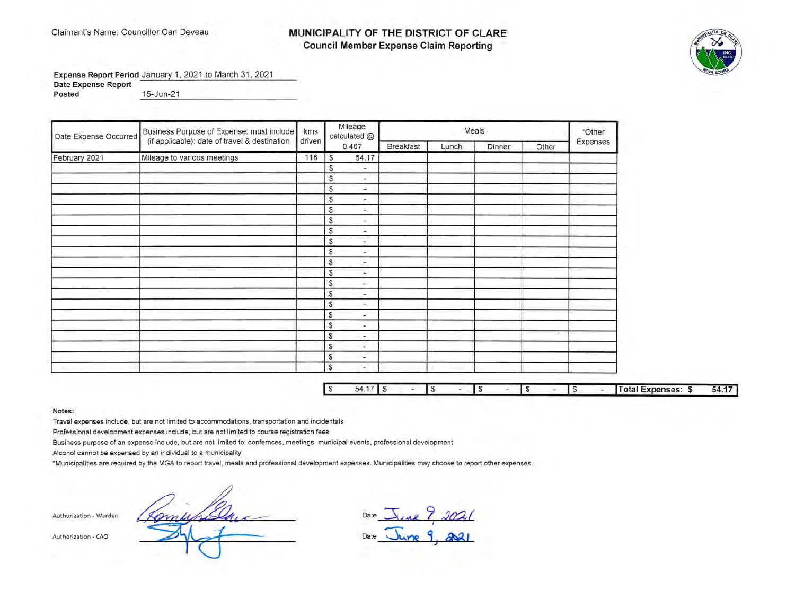### Claimant's Name: Councillor Carl Deveau **MUNICIPALITY OF THE DISTRICT OF CLARE Council Member Expense Claim Reporting**



Expense Report Period January 1, 2021 to March 31, 2021

**Date Expense Report Posted** 15-Jun-21 -----------------

| Date Expense Occurred | Business Purpose of Expense: must include     | kms    |              | Mileage<br>calculated @  |                  |       | Meals  |        | *Other   |
|-----------------------|-----------------------------------------------|--------|--------------|--------------------------|------------------|-------|--------|--------|----------|
|                       | (if applicable): date of travel & destination | driven |              | 0.467                    | <b>Breakfast</b> | Lunch | Dinner | Other  | Expenses |
| February 2021         | Mileage to various meetings                   | 116    | S            | 54.17                    |                  |       |        |        |          |
|                       |                                               |        | S            | $\sim$                   |                  |       |        |        |          |
|                       |                                               |        | S            | $\rightarrow$            |                  |       |        |        |          |
|                       |                                               |        | S            | ÷.                       |                  |       |        |        |          |
|                       |                                               |        | S            | $\overline{\phantom{a}}$ |                  |       |        |        |          |
|                       |                                               |        | S            | $\sim$                   |                  |       |        |        |          |
|                       |                                               |        | $\mathbb{S}$ | ÷                        |                  |       |        |        |          |
|                       |                                               |        | S            | ٠                        |                  |       |        |        |          |
|                       |                                               |        | \$           | ÷                        |                  |       |        |        |          |
|                       |                                               |        | $\mathbb S$  | n.                       |                  |       |        |        |          |
|                       |                                               |        | S            | ×                        |                  |       |        |        |          |
|                       |                                               |        | S            | $\ddot{}$                |                  |       |        |        |          |
|                       |                                               |        | S            | $\sim$                   |                  |       |        |        |          |
|                       |                                               |        | S            | $\sim$                   |                  |       |        |        |          |
|                       |                                               |        | $\mathbb{S}$ | s.                       |                  |       |        |        |          |
|                       |                                               |        | \$           | ÷                        |                  |       |        |        |          |
|                       |                                               |        | S            | $\sim$                   |                  |       |        |        |          |
|                       |                                               |        | $\mathbb{S}$ | ÷                        |                  |       |        | $\sim$ |          |
|                       |                                               |        | $\mathbb S$  | œ.                       |                  |       |        |        |          |
|                       |                                               |        | $\mathbb{S}$ | ۰                        |                  |       |        |        |          |
|                       |                                               |        | $\mathbb S$  | ×.                       |                  |       |        |        |          |

| ∼ |  |  |  |  |  | al Expenses: " | 54 |
|---|--|--|--|--|--|----------------|----|

**Notes:** 

Travel expenses include, but are not limited to accommodations, transportation and incidentals

Professional development expenses include, but are not limited to course registration fees

Business purpose of an expense include, but are not limited to: confernces, meetings, municipal events, professional development

Alcohol cannot be expensed by an individual to a municipality

\*Municipalities are required by the MGA to report travel, meals and professional development expenses. Municipalities may choose to report other expenses.

Authorization - Warden *(Complete Line - Date Line 7, 2021* Authorization - CAO Date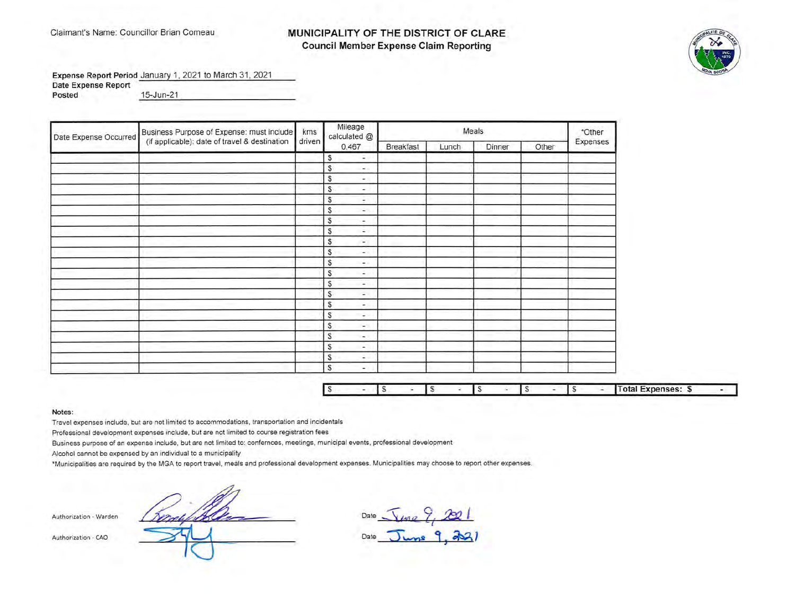#### Claimant's Name: Councillor Brian Comeau **MUNICIPALITY OF THE DISTRICT OF CLARE Council Member Expense Claim Reporting**



**Expense Report Period** January 1, 2021 to March 31, 2021

**Date Expense Report** 

**Posted** 15-Jun-21 15-Jun-21

| Date Expense Occurred | Business Purpose of Expense: must include     | kms    |   | Mileage<br>calculated @  |           |       | Meals  |       | *Other   |
|-----------------------|-----------------------------------------------|--------|---|--------------------------|-----------|-------|--------|-------|----------|
|                       | (if applicable): date of travel & destination | driven |   | 0.467                    | Breakfast | Lunch | Dinner | Other | Expenses |
|                       |                                               |        | s | ÷                        |           |       |        |       |          |
|                       |                                               |        | S | e and                    |           |       |        |       |          |
|                       |                                               |        | S | ٠                        |           |       |        |       |          |
|                       |                                               |        | S | ۰                        |           |       |        |       |          |
|                       |                                               |        | S | $\overline{\phantom{a}}$ |           |       |        |       |          |
|                       |                                               |        | S | $\overline{a}$           |           |       |        |       |          |
|                       |                                               |        | S | ۰                        |           |       |        |       |          |
|                       |                                               |        | S | $\sim$                   |           |       |        |       |          |
|                       |                                               |        | S | $\overline{\phantom{a}}$ |           |       |        |       |          |
|                       |                                               |        | S | $\overline{\phantom{a}}$ |           |       |        |       |          |
|                       |                                               |        | S | ۰.                       |           |       |        |       |          |
|                       |                                               |        | S | ٠                        |           |       |        |       |          |
|                       |                                               |        | S | ۰                        |           |       |        |       |          |
|                       |                                               |        | S | ٠.                       |           |       |        |       |          |
|                       |                                               |        | S | ۰                        |           |       |        |       |          |
|                       |                                               |        | S | ٠                        |           |       |        |       |          |
|                       |                                               |        | S | w.                       |           |       |        |       |          |
|                       |                                               |        | S | ۰                        |           |       |        |       |          |
|                       |                                               |        | S | a.                       |           |       |        |       |          |
|                       |                                               |        | S | ٠                        |           |       |        |       |          |
|                       |                                               |        | S | ۰                        |           |       |        |       |          |

|  |  |  |  |  |  | .Total<br>Expenses: \$ |  |
|--|--|--|--|--|--|------------------------|--|

**Notes:** 

Travel expenses include, but are not limited to accommodations, transportation and incidentals

Professional development expenses include, but are not limited to course registration fees

Business purpose of an expense include, but are not limited to: confernces, meetings, municipal events, professional development

Alcohol cannot be expensed by an individual to a municipality

\*Municipalities are required by the MGA to report travel, meals and professional development expenses. Municipalities may choose to report other expenses.

Authorization - Warden

The material content of the metal content of the metal content of the metal content of the metal content of the metal of the metal of the MGA to report travel, meals and professional development expenses. Municipal events,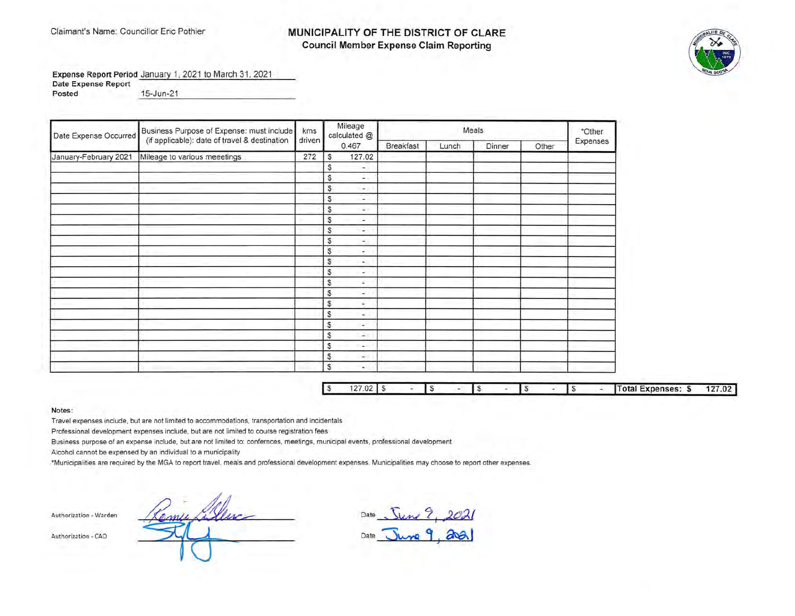## Claimant's Name: Councillor Eric Pothier **MUNICIPALITY OF THE DISTRICT OF CLARE Council Member Expense Claim Reporting**



**Expense Report Period** January 1, 2021 to March 31 , 2021

**Date Expense Report Posted** 15-Jun-21 15-Jun-21

| Date Expense Occurred | Business Purpose of Expense: must include     |        | Mileage<br>calculated @ |                          |                  | *Other |        |       |          |
|-----------------------|-----------------------------------------------|--------|-------------------------|--------------------------|------------------|--------|--------|-------|----------|
|                       | (if applicable): date of travel & destination | driven |                         | 0.467                    | <b>Breakfast</b> | Lunch  | Dinner | Other | Expenses |
| January-February 2021 | Mileage to various meeetings                  | 272    | s                       | 127.02                   |                  |        |        |       |          |
|                       |                                               |        | S                       | ۰                        |                  |        |        |       |          |
|                       |                                               |        | S                       | ÷.                       |                  |        |        |       |          |
|                       |                                               |        | S                       | $\sim$                   |                  |        |        |       |          |
|                       |                                               |        | S                       | ×,                       |                  |        |        |       |          |
|                       |                                               |        | S                       | G V                      |                  |        |        |       |          |
|                       |                                               |        | s                       | ×.                       |                  |        |        |       |          |
|                       |                                               |        | S.                      | $\sim$                   |                  |        |        |       |          |
|                       |                                               |        | S                       | Q,                       |                  |        |        |       |          |
|                       |                                               |        | S                       | ÷                        |                  |        |        |       |          |
|                       |                                               |        | S                       | Q                        |                  |        |        |       |          |
|                       |                                               |        | S                       | $\sim$                   |                  |        |        |       |          |
|                       |                                               |        | S                       | c                        |                  |        |        |       |          |
|                       |                                               |        | S                       | ÷.                       |                  |        |        |       |          |
|                       |                                               |        | S                       | ÷.                       |                  |        |        |       |          |
|                       |                                               |        | S                       | ÷.                       |                  |        |        |       |          |
|                       |                                               |        | S                       | $\omega$                 |                  |        |        |       |          |
|                       |                                               |        | S                       | 2                        |                  |        |        |       |          |
|                       |                                               |        | S                       | $\sim$                   |                  |        |        |       |          |
|                       |                                               |        | S                       | $\sim$                   |                  |        |        |       |          |
|                       |                                               |        | S                       | $\overline{\phantom{0}}$ |                  |        |        |       |          |

| $\sim$ | $\cap$ |  |  |  |  |  | Total Expenses: \$ |  |
|--------|--------|--|--|--|--|--|--------------------|--|

**Notes:** 

Travel expenses include, but are not limited to accommodations, transportation and incidentals

Professional development expenses include, but are not limited to course registration fees

Business purpose of an expense include, but are not limited to: confernces, meetings, municipal events, professional development

Alcohol cannot be expensed by an individual to a municipality

\*Municipalities are required by the MGA to report travel, meals and professional development expenses. Municipalities may choose to report other expenses.

**Authorization - Wa rden** 

Authorization - CAO

Date , **S'u.M.( 7** I *..2C()J*  Date  $\sqrt{\log 9}$  and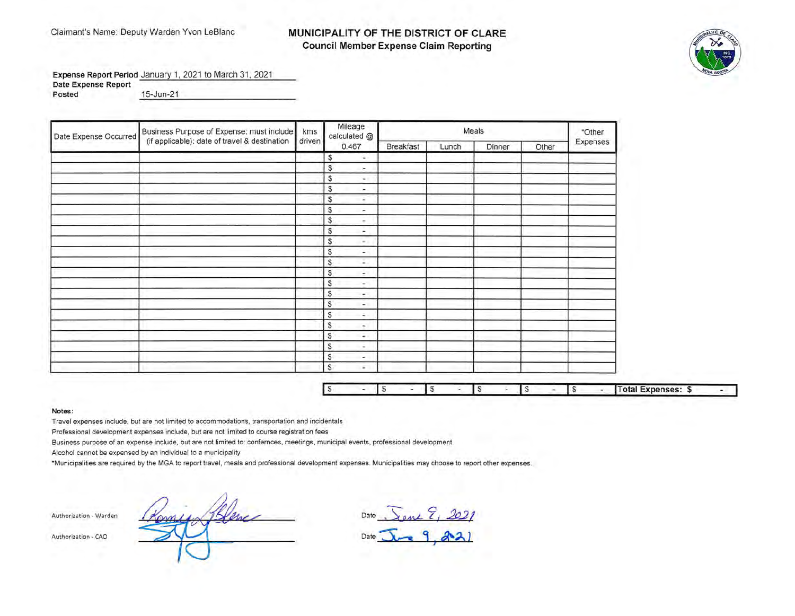## Claimant's Name: Deputy Warden Yvon LeBlanc **MUNICIPALITY OF THE DISTRICT OF CLARE Council Member Expense Claim Reporting**



Expense Report Period January 1, 2021 to March 31, 2021 **Date Expense Report** 

Posted Posted 15-Jun-21

| Date Expense Occurred | Business Purpose of Expense: must include     | kms<br>driven | Mileage<br>calculated @                  |           | Meals |        |       |          |  |  |
|-----------------------|-----------------------------------------------|---------------|------------------------------------------|-----------|-------|--------|-------|----------|--|--|
|                       | (if applicable): date of travel & destination |               | 0.467                                    | Breakfast | Lunch | Dinner | Other | Expenses |  |  |
|                       |                                               |               | S<br>÷.                                  |           |       |        |       |          |  |  |
|                       |                                               |               | S<br>i.                                  |           |       |        |       |          |  |  |
|                       |                                               |               | S<br>٠.                                  |           |       |        |       |          |  |  |
|                       |                                               |               | S<br>÷.                                  |           |       |        |       |          |  |  |
|                       |                                               |               | S<br>÷.                                  |           |       |        |       |          |  |  |
|                       |                                               |               | S<br>$\overline{\phantom{a}}$            |           |       |        |       |          |  |  |
|                       |                                               |               | \$<br>$\sim$                             |           |       |        |       |          |  |  |
|                       |                                               |               | S<br>۰.                                  |           |       |        |       |          |  |  |
|                       |                                               |               | S<br>٠.                                  |           |       |        |       |          |  |  |
|                       |                                               |               | S<br>٠                                   |           |       |        |       |          |  |  |
|                       |                                               |               | S<br>z.                                  |           |       |        |       |          |  |  |
|                       |                                               |               | S<br>$\overline{\phantom{a}}$            |           |       |        |       |          |  |  |
|                       |                                               |               | S<br>w.                                  |           |       |        |       |          |  |  |
|                       |                                               |               | S<br>×.                                  |           |       |        |       |          |  |  |
|                       |                                               |               | $\mathbb{S}$<br>$\overline{\phantom{a}}$ |           |       |        |       |          |  |  |
|                       |                                               |               | \$<br>÷                                  |           |       |        |       |          |  |  |
|                       |                                               |               | S<br>$\sim$                              |           |       |        |       |          |  |  |
|                       |                                               |               | S<br>$\overline{a}$                      |           |       |        |       |          |  |  |
|                       |                                               |               | S<br>$\ddot{ }$                          |           |       |        |       |          |  |  |
|                       |                                               |               | s<br>$\overline{\phantom{a}}$            |           |       |        |       |          |  |  |
|                       |                                               |               | \$<br>$\overline{\phantom{a}}$           |           |       |        |       |          |  |  |

|  |  |  | Total Expenses: \$ |  |
|--|--|--|--------------------|--|

**Notes:** 

Travel expenses include, but are not limited to accommodation's, transportation and incidentals

Professional development expenses include, but are not limited to course registration fees

Business purpose of an expense include, but are not limited to: confernces, meetings, municipal events, professional development

Alcohol cannot be expensed by an individual to a municipality

"Municipalities are required by the MGA to report travel, meals and professional development expenses. Municipal ities may choose to report other expenses.

Authorization - Warden Romain Remains Pate - Sene 9, 2021 Authorization - CAO **Date** <u>**A**</u>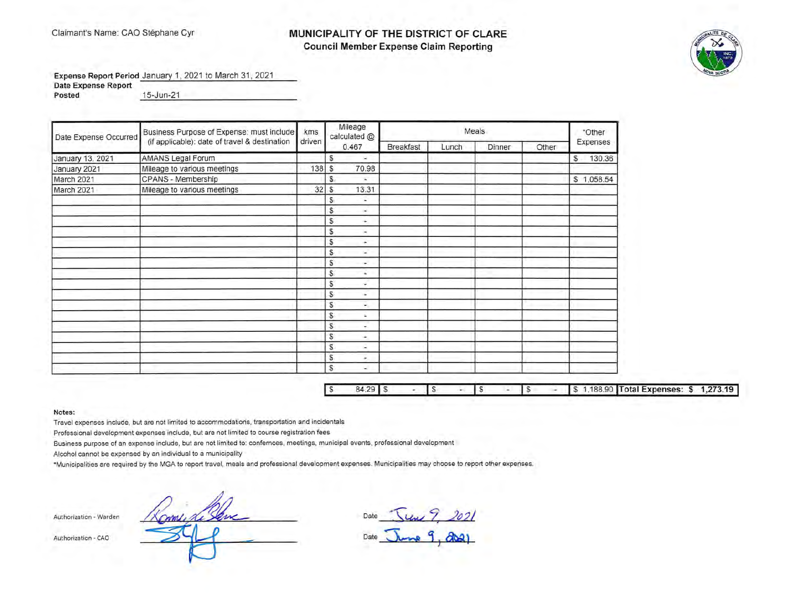## Claimant's Name: CAO Stephane Cyr **MUNICIPALITY OF THE DISTRICT OF CLARE Council Member Expense Claim Reporting**



**Expense Report Period** January 1, 2021 to March 31, 2021

**Date Expense Report** 

**Posted** 15-Jun-21 15-Jun-21 2005

| Date Expense Occurred | Business Purpose of Expense: must include     |        | Mileage<br>calculated @ |          |                  | *Other |        |       |             |  |
|-----------------------|-----------------------------------------------|--------|-------------------------|----------|------------------|--------|--------|-------|-------------|--|
|                       | (if applicable): date of travel & destination | driven | 0.467                   |          | <b>Breakfast</b> | Lunch  | Dinner | Other | Expenses    |  |
| January 13, 2021      | AMANS Legal Forum                             |        | s<br>×.                 |          |                  |        |        |       | 130.36<br>s |  |
| January 2021          | Mileage to various meetings                   | 138    | s                       | 70.98    |                  |        |        |       |             |  |
| March 2021            | CPANS - Membership                            |        | S.                      | c        |                  |        |        |       | \$1,058.54  |  |
| March 2021            | Mileage to various meetings                   | 32     | S.                      | 13.31    |                  |        |        |       |             |  |
|                       |                                               |        | s                       | ٠        |                  |        |        |       |             |  |
|                       |                                               |        | s.                      | ω,       |                  |        |        |       |             |  |
|                       |                                               |        | S                       | ٠        |                  |        |        |       |             |  |
|                       |                                               |        | S                       | ×        |                  |        |        |       |             |  |
|                       |                                               |        | S                       | ÷        |                  |        |        |       |             |  |
|                       |                                               |        | S                       | w.       |                  |        |        |       |             |  |
|                       |                                               |        | s                       | ×.       |                  |        |        |       |             |  |
|                       |                                               |        | S                       | ¥        |                  |        |        |       |             |  |
|                       |                                               |        | S                       | ÷.       |                  |        |        |       |             |  |
|                       |                                               |        | S                       | ٠        |                  |        |        |       |             |  |
|                       |                                               |        | S                       | ÷.       |                  |        |        |       |             |  |
|                       |                                               |        | S                       | ÷.       |                  |        |        |       |             |  |
|                       |                                               |        | S                       | ÷.       |                  |        |        |       |             |  |
|                       |                                               |        | S                       | ÷.       |                  |        |        |       |             |  |
|                       |                                               |        | S                       | a,       |                  |        |        |       |             |  |
|                       |                                               |        | S                       | $\omega$ |                  |        |        |       |             |  |
|                       |                                               |        | S                       | u        |                  |        |        |       |             |  |

| $84.29$ $\degree$ |  |  |  |  |  |  |  |  | \$ 1,188.90 Total Expenses: \$ 1,273.19 |
|-------------------|--|--|--|--|--|--|--|--|-----------------------------------------|
|-------------------|--|--|--|--|--|--|--|--|-----------------------------------------|

**Notes:** 

Travel expenses include, but are not limited to accommodations, transportation and incidentals

Professional development expenses include, but are not limited to course registration fees

Business purpose of an expense include, but are not limited to: confernces, meetings, municipal events, professional development

Alcohol cannot be expensed by an individual to a municipality

\*Municipalities are required by the MGA to report travel, meals and professional development expenses. Municipalities may choose to report other expenses.

Authorization - Warden

Authorization - CAO

Date <u>June 9, 2021</u> Date <u>June</u> 9, 2021